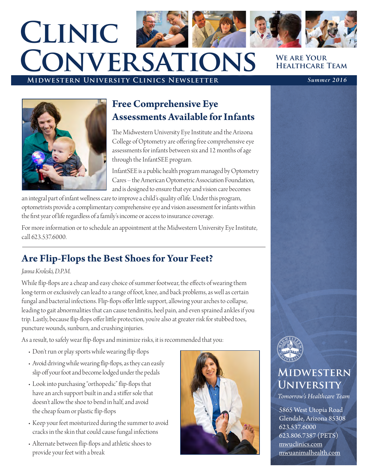# **We are Your Healthcare Team Clinic Conversations**

### **Midwestern University Clinics Newsletter** *Summer 2016*



### **Free Comprehensive Eye Assessments Available for Infants**

The Midwestern University Eye Institute and the Arizona College of Optometry are offering free comprehensive eye assessments for infants between six and 12 months of age through the InfantSEE program.

InfantSEE is a public health program managed by Optometry Cares – the American Optometric Association Foundation, and is designed to ensure that eye and vision care becomes

an integral part of infant wellness care to improve a child's quality of life. Under this program, optometrists provide a complimentary comprehensive eye and vision assessment for infants within the first year of life regardless of a family's income or access to insurance coverage.

For more information or to schedule an appointment at the Midwestern University Eye Institute, call 623.537.6000.

# **Are Flip-Flops the Best Shoes for Your Feet?**

#### *Janna Kroleski, D.P.M.*

While flip-flops are a cheap and easy choice of summer footwear, the effects of wearing them long-term or exclusively can lead to a range of foot, knee, and back problems, as well as certain fungal and bacterial infections. Flip-flops offer little support, allowing your arches to collapse, leading to gait abnormalities that can cause tendinitis, heel pain, and even sprained ankles if you trip. Lastly, because flip-flops offer little protection, you're also at greater risk for stubbed toes, puncture wounds, sunburn, and crushing injuries.

As a result, to safely wear flip-flops and minimize risks, it is recommended that you:

- Don't run or play sports while wearing flip-flops
- Avoid driving while wearing flip-flops, as they can easily slip off your foot and become lodged under the pedals
- Look into purchasing "orthopedic" flip-flops that have an arch support built in and a stiffer sole that doesn't allow the shoe to bend in half, and avoid the cheap foam or plastic flip-flops
- Keep your feet moisturized during the summer to avoid cracks in the skin that could cause fungal infections
- Alternate between flip-flops and athletic shoes to provide your feet with a break





# **Midwestern University**

*Tomorrow's Healthcare Team*

5865 West Utopia Road Glendale, Arizona 85308 623.537.6000 623.806.7387 (PETS) mwuclinics.com mwuanimalhealth.com